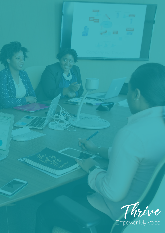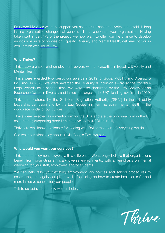[Empower My Voice](https://www.empowermyvoice.org/) wants to support you as an organisation to evoke and establish long lasting organisation change that benefits all that encounter your organisation. Having taken part in part 1-3 of the project, we now want to offer you the chance to develop an inclusive suite of policies on Equality, Diversity and Mental Health, delivered to you in conjunction with [Thrive Law.](https://www.thrivelaw.co.uk/)

### **Why Thrive?**

[Thrive Law](https://www.thrivelaw.co.uk/) are specialist employment lawyers with an expertise in Equality, Diversity and Mental Health.

Thrive were awarded two prestigious awards in 2019 for Social Mobility and Diversity & Inclusion. In 2020, we were awarded the Diversity & Inclusion award at the Yorkshire Legal Awards for a second time. We were also shortlisted by the Law Society for an [Excellence Award](https://www.thrivelaw.co.uk/2020/09/08/thrive-law-shortlisted-for-prestigious-law-society-excellence-awards/) in Diversity and Inclusion alongside the UK's leading law firms in 2020.

Thrive are featured by the Solicitors Regulation Authority ["SRA"] in their [disability](https://www.youtube.com/watch?v=fLQgISdwcoY) [leadership campaign](https://www.youtube.com/watch?v=fLQgISdwcoY) and by the Law Society in their managing mental health in the [workplace guide](https://www.lawsociety.org.uk/en/topics/hr-and-people-management/supporting-wellbeing-in-the-workplace-guidance-for-best-practice) for our culture.

Thrive were selected as a mentor firm for the SRA and are the only small firm in the UK as a mentor, supporting other firms to develop their EDI internally.

Thrive are well known nationally for leading with D&I at the heart of everything we do.

See what our clients say about us via Google Reviews [here.](https://www.google.com/search?sxsrf=ALeKk01Z1IV1UC7SN8ttaEGHRVKIe-OyYg%253A1611914714781&ei=2t0TYMKSL7iN1fAP45uswAk&q=thrive+law+google+reviews&oq=thrive+law+google+reviews&gs_lcp=CgZwc3ktYWIQAzIHCAAQRxCwAzIHCAAQRxCwAzIHCAAQRxCwAzIHCAAQRxCwAzIHCAAQRxCwAzIHCAAQRxCwA1AAWABg2LwBaAFwAHgAgAEAiAEAkgEAmAEAqgEHZ3dzLXdpesgBBrgBAcABAQ&sclient=psy-ab&ved=0ahUKEwjC5-2f8sDuAhW4RhUIHeMNC5gQ4dUDCA0&uact=5)

## **Why would you want our services?**

Thrive are employment lawyers with a difference. We strongly believe that organisations benefit from promoting ethnically diverse environments, with an emphasis on mental wellbeing for your staff, employees and/or students.

We can help tailor your existing employment law policies and school procedures to ensure they are legally compliant whilst focussing on how to create healthier, safer and more inclusive spaces for your people.

[Talk to us](https://www.thrivelaw.co.uk/contact-us/) today about how we can help you.

Thrive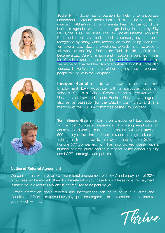





**Jodie Hill** - Jodie has a passion for helping to encourage understanding around mental health. This can be seen in her campaign: [#OneMind,](https://www.change.org/p/steven-brine-mp-having-a-mental-health-first-aider-in-the-workplace-should-be-mandatory) to bring mental health to the top of the business agenda, with her campaign being featured by Sky News, the BBC, The Times, The Law Society Gazette, Yorkshire Post and other key media. Jodie's campaigning has been recognised by many, which recently led to her being shortlisted for several Law Society Excellence awards, she awarded a fellowship of the Royal Society for Public Health. In 2019 she became a Law Care Champion and in 2020 she launched [This is](https://www.thisismeyorkshire.co.uk/)  [Me Yorkshire,](https://www.thisismeyorkshire.co.uk/) and appeared on the [InsideOut Leader Board](https://inside-out.org/leaderboard/) as well as being awarded their Advocacy Award. In 2019, Jodie also founded [Thrive Women](https://www.thrivelaw.co.uk/thrive_women/) - part of her ongoing mission to enable people to 'Thrive' in the workplace.

**Imogen Hamblin** – is an associate solicitor and Employment Law Advocate with a particular focus on schools. She is a School Governor and a Lecturer at the University of Law and Leeds Beckett University. Imogen is also an ambassador for the LGBT+ community and is a member of the LGBT+ committee of the Law Society.

**Tom Stenner-Evans** - Tom is an Employment Law specialist with almost 15 years' experience of advising employers on equality and diversity issues. He sat on the D&I committee of a 500-employee law firm and has provided strategic advice and training at Board level to employers ranging from SMEs to Fortune 500 companies. Tom has also worked closely with a number of large public bodies in respect of the gender equality and LGBT+ strategies and policies.

# **Notice of Referral Agreement**

[We confirm that we have an existing referral arrangement with EMV and a payment of 20%](https://twitter.com/empowermyvoice) of our fees will be made to them for the referral of your case to us. Please note this payment [is made by us direct to EMV and is not required to be paid by you.](https://twitter.com/empowermyvoice)

[Further information about referrals and introductions can be found in our Terms and](https://twitter.com/empowermyvoice) Conditions of Business. If you have any questions regarding this, please do not hesitate to [get in touch with us.](https://twitter.com/empowermyvoice)

Thrive